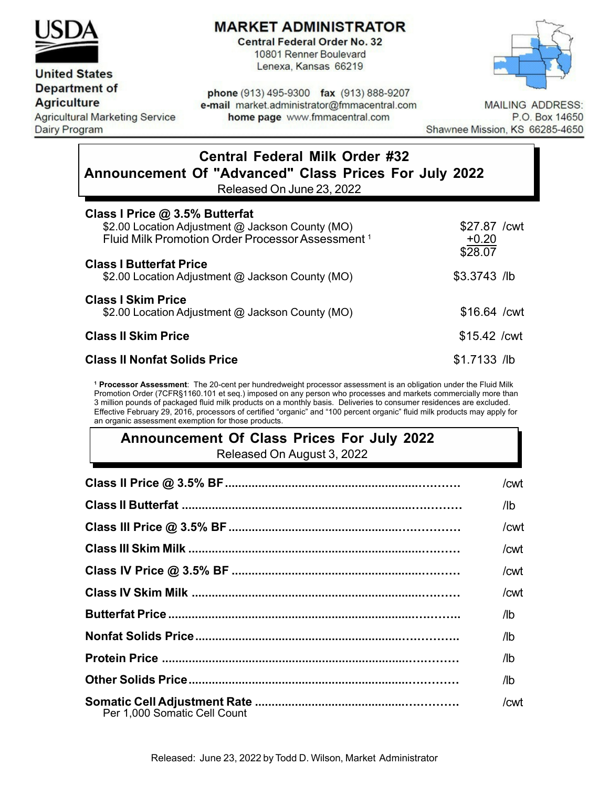

# **MARKET ADMINISTRATOR**

**Central Federal Order No. 32** 10801 Renner Boulevard Lenexa, Kansas 66219



### **United States Department of**

**Agriculture** 

**Agricultural Marketing Service Dairy Program** 

phone (913) 495-9300 fax (913) 888-9207 e-mail market.administrator@fmmacentral.com home page www.fmmacentral.com

**MAILING ADDRESS:** P.O. Box 14650 Shawnee Mission, KS 66285-4650

# **Central Federal Milk Order #32 Announcement Of "Advanced" Class Prices For July 2022**

Released On June 23, 2022

| Class I Price @ 3.5% Butterfat<br>\$2.00 Location Adjustment @ Jackson County (MO)<br>Fluid Milk Promotion Order Processor Assessment <sup>1</sup> | \$27.87 / cwt<br>$+0.20$<br>\$28.07 |
|----------------------------------------------------------------------------------------------------------------------------------------------------|-------------------------------------|
| <b>Class I Butterfat Price</b><br>\$2.00 Location Adjustment @ Jackson County (MO)                                                                 | $$3.3743$ /lb                       |
| <b>Class I Skim Price</b><br>\$2.00 Location Adjustment @ Jackson County (MO)                                                                      | $$16.64$ / cwt                      |
| <b>Class II Skim Price</b>                                                                                                                         | $$15.42$ / cwt                      |
| <b>Class II Nonfat Solids Price</b>                                                                                                                | $$1.7133$ /lb                       |

**<sup>1</sup> Processor Assessment**: The 20-cent per hundredweight processor assessment is an obligation under the Fluid Milk Promotion Order (7CFR§1160.101 et seq.) imposed on any person who processes and markets commercially more than 3 million pounds of packaged fluid milk products on a monthly basis. Deliveries to consumer residences are excluded. Effective February 29, 2016, processors of certified "organic" and "100 percent organic" fluid milk products may apply for an organic assessment exemption for those products.

# **Announcement Of Class Prices For July 2022** Released On August 3, 2022

|                              | /cwt                      |
|------------------------------|---------------------------|
|                              | /lb -                     |
|                              | /cwt                      |
|                              | /cwt                      |
|                              | /cwt                      |
|                              | /cwt                      |
|                              | $\mathsf{I}^{\mathsf{I}}$ |
|                              | /lb                       |
|                              | /lb                       |
|                              | /lb                       |
| Per 1.000 Somatic Cell Count | /cwt                      |